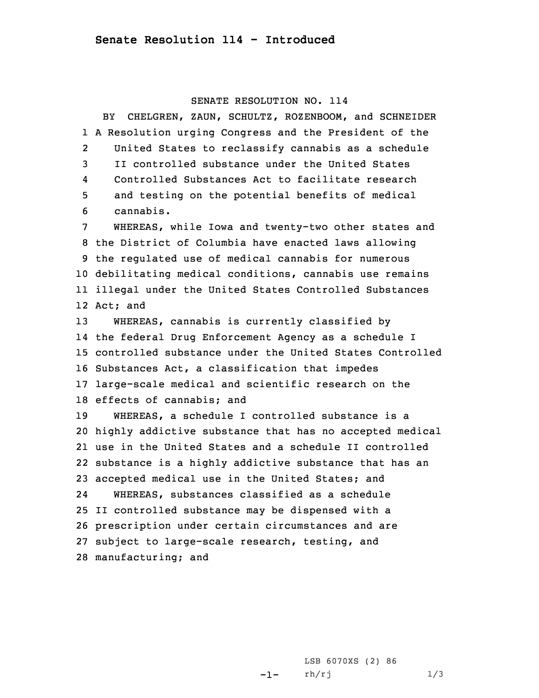## SENATE RESOLUTION NO. 114

BY CHELGREN, ZAUN, SCHULTZ, ROZENBOOM, and SCHNEIDER <sup>A</sup> Resolution urging Congress and the President of the 2 United States to reclassify cannabis as <sup>a</sup> schedule II controlled substance under the United States 4 Controlled Substances Act to facilitate research and testing on the potential benefits of medical cannabis. WHEREAS, while Iowa and twenty-two other states and the District of Columbia have enacted laws allowing the regulated use of medical cannabis for numerous debilitating medical conditions, cannabis use remains illegal under the United States Controlled Substances 12 Act; and WHEREAS, cannabis is currently classified by the federal Drug Enforcement Agency as <sup>a</sup> schedule <sup>I</sup> controlled substance under the United States Controlled Substances Act, <sup>a</sup> classification that impedes large-scale medical and scientific research on the effects of cannabis; and WHEREAS, <sup>a</sup> schedule I controlled substance is <sup>a</sup> highly addictive substance that has no accepted medical use in the United States and <sup>a</sup> schedule II controlled substance is <sup>a</sup> highly addictive substance that has an accepted medical use in the United States; and 24 WHEREAS, substances classified as <sup>a</sup> schedule II controlled substance may be dispensed with <sup>a</sup> prescription under certain circumstances and are subject to large-scale research, testing, and manufacturing; and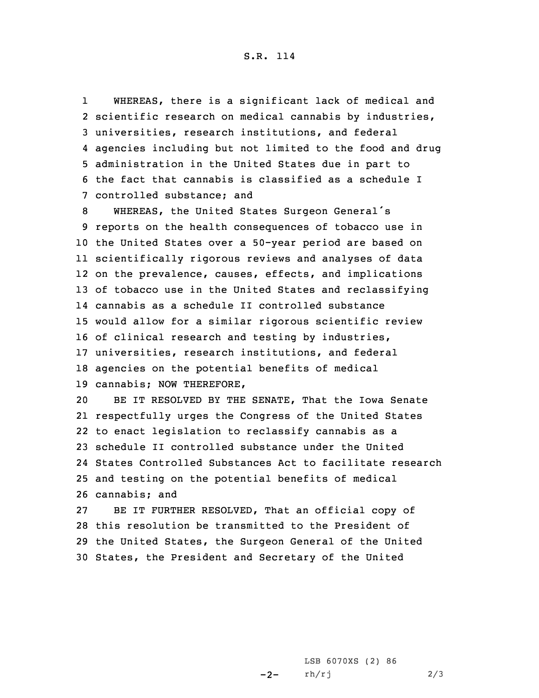## S.R. 114

1 WHEREAS, there is <sup>a</sup> significant lack of medical and scientific research on medical cannabis by industries, universities, research institutions, and federal agencies including but not limited to the food and drug administration in the United States due in part to the fact that cannabis is classified as <sup>a</sup> schedule I controlled substance; and

 WHEREAS, the United States Surgeon General's reports on the health consequences of tobacco use in the United States over <sup>a</sup> 50-year period are based on scientifically rigorous reviews and analyses of data on the prevalence, causes, effects, and implications of tobacco use in the United States and reclassifying cannabis as <sup>a</sup> schedule II controlled substance would allow for <sup>a</sup> similar rigorous scientific review of clinical research and testing by industries, universities, research institutions, and federal agencies on the potential benefits of medical cannabis; NOW THEREFORE,

 BE IT RESOLVED BY THE SENATE, That the Iowa Senate respectfully urges the Congress of the United States to enact legislation to reclassify cannabis as <sup>a</sup> schedule II controlled substance under the United States Controlled Substances Act to facilitate research and testing on the potential benefits of medical cannabis; and

 BE IT FURTHER RESOLVED, That an official copy of this resolution be transmitted to the President of the United States, the Surgeon General of the United States, the President and Secretary of the United

> $-2-$ LSB 6070XS (2) 86 rh/rj 2/3